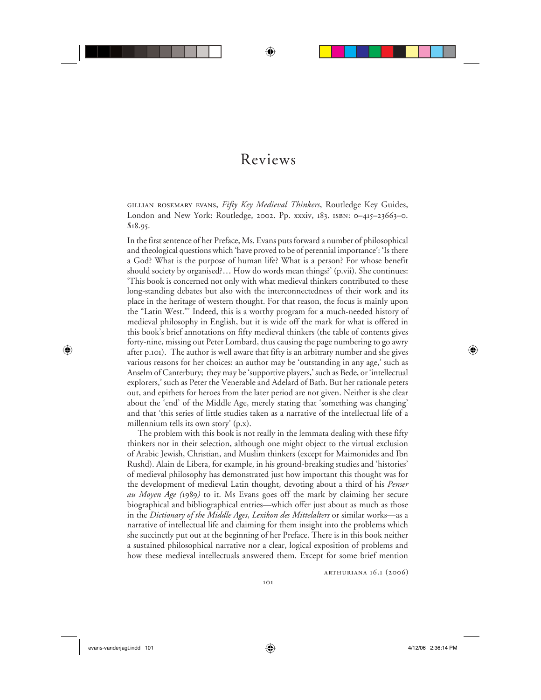## Reviews

⊕

gillian rosemary evans, *Fifty Key Medieval Thinkers*, Routledge Key Guides, London and New York: Routledge, 2002. Pp. xxxiv, 183. isbn: 0–415–23663–0. \$18.95.

In the first sentence of her Preface, Ms. Evans puts forward a number of philosophical and theological questions which 'have proved to be of perennial importance': 'Is there a God? What is the purpose of human life? What is a person? For whose benefit should society by organised?… How do words mean things?' (p.vii). She continues: 'This book is concerned not only with what medieval thinkers contributed to these long-standing debates but also with the interconnectedness of their work and its place in the heritage of western thought. For that reason, the focus is mainly upon the "Latin West."' Indeed, this is a worthy program for a much-needed history of medieval philosophy in English, but it is wide off the mark for what is offered in this book's brief annotations on fifty medieval thinkers (the table of contents gives forty-nine, missing out Peter Lombard, thus causing the page numbering to go awry after p.101). The author is well aware that fifty is an arbitrary number and she gives various reasons for her choices: an author may be 'outstanding in any age,' such as Anselm of Canterbury; they may be 'supportive players,' such as Bede, or 'intellectual explorers,' such as Peter the Venerable and Adelard of Bath. But her rationale peters out, and epithets for heroes from the later period are not given. Neither is she clear about the 'end' of the Middle Age, merely stating that 'something was changing' and that 'this series of little studies taken as a narrative of the intellectual life of a millennium tells its own story' (p.x).

The problem with this book is not really in the lemmata dealing with these fifty thinkers nor in their selection, although one might object to the virtual exclusion of Arabic Jewish, Christian, and Muslim thinkers (except for Maimonides and Ibn Rushd). Alain de Libera, for example, in his ground-breaking studies and 'histories' of medieval philosophy has demonstrated just how important this thought was for the development of medieval Latin thought, devoting about a third of his *Penser au Moyen Age (*1989*)* to it. Ms Evans goes off the mark by claiming her secure biographical and bibliographical entries—which offer just about as much as those in the *Dictionary of the Middle Ages*, *Lexikon des Mittelalters* or similar works—as a narrative of intellectual life and claiming for them insight into the problems which she succinctly put out at the beginning of her Preface. There is in this book neither a sustained philosophical narrative nor a clear, logical exposition of problems and how these medieval intellectuals answered them. Except for some brief mention

arthuriana 16.1 (2006)

 $\bigoplus$ 

⊕